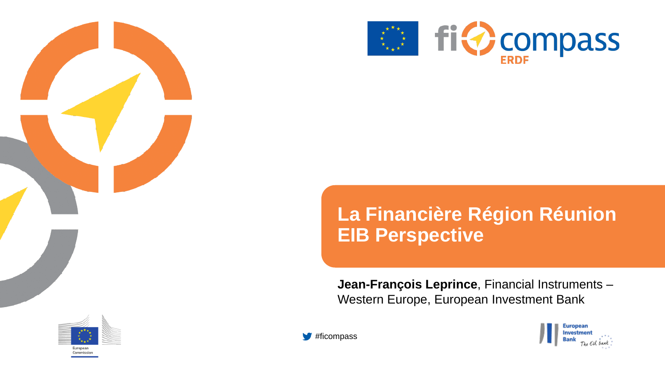



### **La Financière Région Réunion EIB Perspective**

**Jean-François Leprince**, Financial Instruments – Western Europe, European Investment Bank





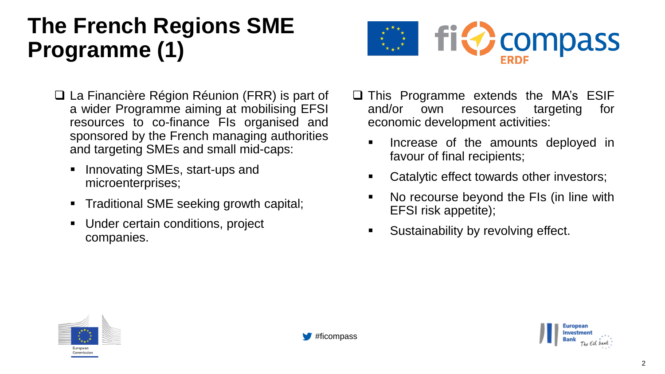### **The French Regions SME Programme (1)**



- ❑ La Financière Région Réunion (FRR) is part of a wider Programme aiming at mobilising EFSI resources to co-finance FIs organised and sponsored by the French managing authorities and targeting SMEs and small mid-caps:
	- Innovating SMEs, start-ups and microenterprises;
	- Traditional SME seeking growth capital;
	- Under certain conditions, project companies.
- ❑ This Programme extends the MA's ESIF and/or own resources targeting for economic development activities:
	- Increase of the amounts deployed in favour of final recipients;
	- Catalytic effect towards other investors;
	- No recourse beyond the FIs (in line with EFSI risk appetite);
	- Sustainability by revolving effect.



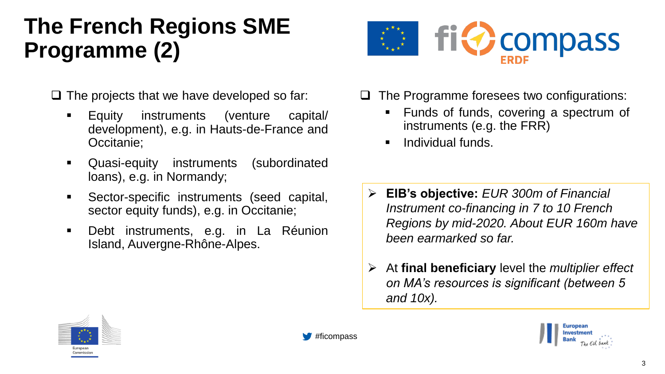## **The French Regions SME Programme (2)**

- $\Box$  The projects that we have developed so far:
	- Equity instruments (venture capital/ development), e.g. in Hauts-de-France and Occitanie;
	- Quasi-equity instruments (subordinated loans), e.g. in Normandy;
	- Sector-specific instruments (seed capital, sector equity funds), e.g. in Occitanie;
	- Debt instruments, e.g. in La Réunion Island, Auvergne-Rhône-Alpes.



- ❑ The Programme foresees two configurations:
	- Funds of funds, covering a spectrum of instruments (e.g. the FRR)
	- **·** Individual funds.
- ➢ **EIB's objective:** *EUR 300m of Financial Instrument co-financing in 7 to 10 French Regions by mid-2020. About EUR 160m have been earmarked so far.*
- ➢ At **final beneficiary** level the *multiplier effect on MA's resources is significant (between 5 and 10x).*



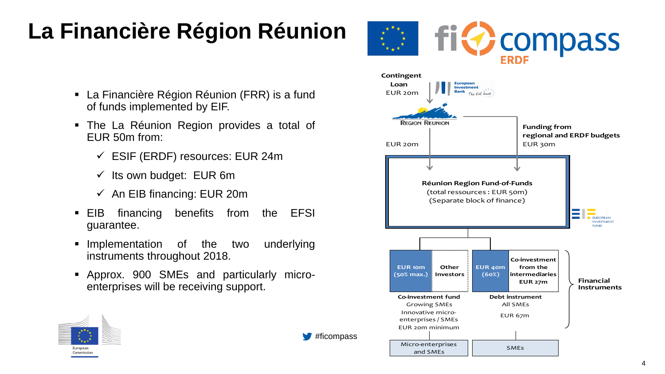# **La Financière Région Réunion**

- La Financière Région Réunion (FRR) is a fund of funds implemented by EIF.
- The La Réunion Region provides a total of EUR 50m from:
	- $\checkmark$  ESIF (ERDF) resources: EUR 24m
	- $\checkmark$  Its own budget: EUR 6m
	- $\checkmark$  An EIB financing: EUR 20m
- EIB financing benefits from the EFSI guarantee.
- **EXP** Implementation of the two underlying instruments throughout 2018.
- Approx. 900 SMEs and particularly microenterprises will be receiving support.



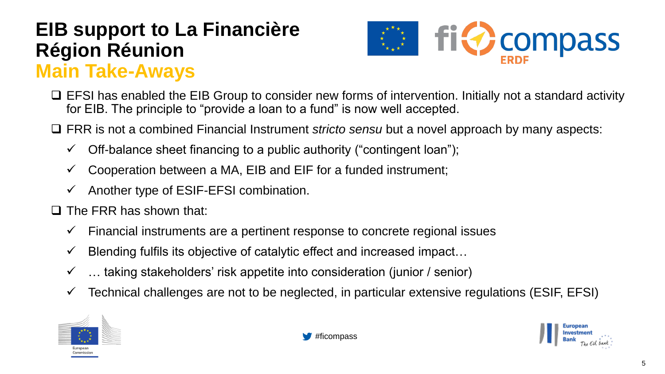### **EIB support to La Financière Région Réunion Main Take-Aways**



- ❑ EFSI has enabled the EIB Group to consider new forms of intervention. Initially not a standard activity for EIB. The principle to "provide a loan to a fund" is now well accepted.
- ❑ FRR is not a combined Financial Instrument *stricto sensu* but a novel approach by many aspects:
	- $\checkmark$  Off-balance sheet financing to a public authority ("contingent loan");
	- $\checkmark$  Cooperation between a MA, EIB and EIF for a funded instrument;
	- $\checkmark$  Another type of ESIF-EFSI combination.
- ❑ The FRR has shown that:
	- $\checkmark$  Financial instruments are a pertinent response to concrete regional issues
	- $\checkmark$  Blending fulfils its objective of catalytic effect and increased impact...
	- $\checkmark$  ... taking stakeholders' risk appetite into consideration (junior / senior)
	- $\checkmark$  Technical challenges are not to be neglected, in particular extensive regulations (ESIF, EFSI)